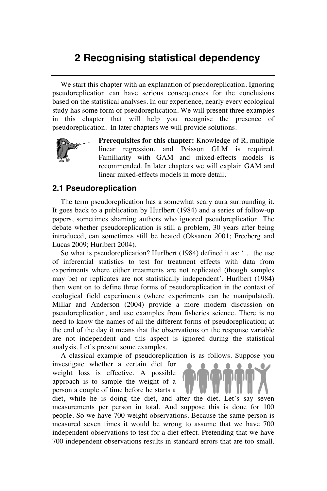## **2 Recognising statistical dependency**

We start this chapter with an explanation of pseudoreplication. Ignoring pseudoreplication can have serious consequences for the conclusions based on the statistical analyses. In our experience, nearly every ecological study has some form of pseudoreplication. We will present three examples in this chapter that will help you recognise the presence of pseudoreplication. In later chapters we will provide solutions.



**Prerequisites for this chapter:** Knowledge of R, multiple linear regression, and Poisson GLM is required. Familiarity with GAM and mixed-effects models is recommended. In later chapters we will explain GAM and linear mixed-effects models in more detail.

## **2.1 Pseudoreplication**

The term pseudoreplication has a somewhat scary aura surrounding it. It goes back to a publication by Hurlbert (1984) and a series of follow-up papers, sometimes shaming authors who ignored pseudoreplication. The debate whether pseudoreplication is still a problem, 30 years after being introduced, can sometimes still be heated (Oksanen 2001; Freeberg and Lucas 2009; Hurlbert 2004).

So what is pseudoreplication? Hurlbert (1984) defined it as: '… the use of inferential statistics to test for treatment effects with data from experiments where either treatments are not replicated (though samples may be) or replicates are not statistically independent'. Hurlbert (1984) then went on to define three forms of pseudoreplication in the context of ecological field experiments (where experiments can be manipulated). Millar and Anderson (2004) provide a more modern discussion on pseudoreplication, and use examples from fisheries science. There is no need to know the names of all the different forms of pseudoreplication; at the end of the day it means that the observations on the response variable are not independent and this aspect is ignored during the statistical analysis. Let's present some examples.

A classical example of pseudoreplication is as follows. Suppose you

independent observations to test for a diet effect. Pretending that we have 700 independent observations results in standard errors that are too small.

investigate whether a certain diet for weight loss is effective. A possible approach is to sample the weight of a person a couple of time before he starts a

diet, while he is doing the diet, and after the diet. Let's say seven measurements per person in total. And suppose this is done for 100 people. So we have 700 weight observations. Because the same person is measured seven times it would be wrong to assume that we have 700